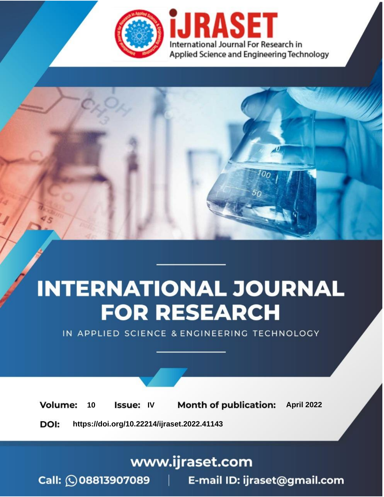

# **INTERNATIONAL JOURNAL FOR RESEARCH**

IN APPLIED SCIENCE & ENGINEERING TECHNOLOGY

Volume: 10 **Issue: IV Month of publication:** April 2022

**https://doi.org/10.22214/ijraset.2022.41143**DOI:

www.ijraset.com

Call: 008813907089 | E-mail ID: ijraset@gmail.com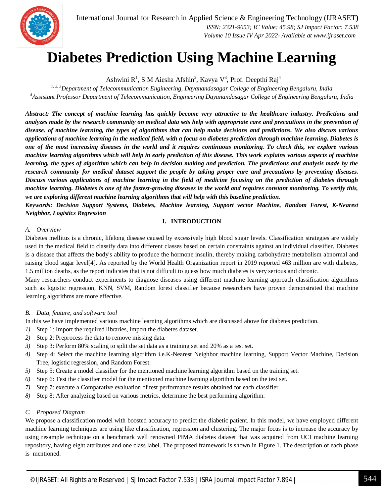

### **Diabetes Prediction Using Machine Learning**

Ashwini R<sup>1</sup>, S M Aiesha Afshin<sup>2</sup>, Kavya V<sup>3</sup>, Prof. Deepthi Raj<sup>4</sup>

*1, 2, 3Department of Telecommunication Engineering, Dayanandasagar College of Engineering Bengaluru, India <sup>4</sup>Assistant Professor Department of Telecommunication, Engineering Dayanandasagar College of Engineering Bengaluru, India*

*Abstract: The concept of machine learning has quickly become very attractive to the healthcare industry. Predictions and analyzes made by the research community on medical data sets help with appropriate care and precautions in the prevention of disease. of machine learning, the types of algorithms that can help make decisions and predictions. We also discuss various applications of machine learning in the medical field, with a focus on diabetes prediction through machine learning. Diabetes is one of the most increasing diseases in the world and it requires continuous monitoring. To check this, we explore various machine learning algorithms which will help in early prediction of this disease. This work explains various aspects of machine learning, the types of algorithm which can help in decision making and prediction. The predictions and analysis made by the research community for medical dataset support the people by taking proper care and precautions by preventing diseases. Discuss various applications of machine learning in the field of medicine focusing on the prediction of diabetes through machine learning. Diabetes is one of the fastest-growing diseases in the world and requires constant monitoring. To verify this, we are exploring different machine learning algorithms that will help with this baseline prediction.*

*Keywords: Decision Support Systems, Diabetes, Machine learning, Support vector Machine, Random Forest, K-Nearest Neighbor, Logistics Regression*

#### **I. INTRODUCTION**

#### *A. Overview*

Diabetes mellitus is a chronic, lifelong disease caused by excessively high blood sugar levels. Classification strategies are widely used in the medical field to classify data into different classes based on certain constraints against an individual classifier. Diabetes is a disease that affects the body's ability to produce the hormone insulin, thereby making carbohydrate metabolism abnormal and raising blood sugar level[4]. As reported by the World Health Organization report in 2019 reported 463 million are with diabetes, 1.5 million deaths, as the report indicates that is not difficult to guess how much diabetes is very serious and chronic.

Many researchers conduct experiments to diagnose diseases using different machine learning approach classification algorithms such as logistic regression, KNN, SVM, Random forest classifier because researchers have proven demonstrated that machine learning algorithms are more effective.

#### *B. Data, feature, and software tool*

In this we have implemented various machine learning algorithms which are discussed above for diabetes prediction.

- *1)* Step 1: Import the required libraries, import the diabetes dataset.
- *2)* Step 2: Preprocess the data to remove missing data.
- *3)* Step 3: Perform 80% scaling to split the set data as a training set and 20% as a test set.
- *4)* Step 4: Select the machine learning algorithm i.e.K-Nearest Neighbor machine learning, Support Vector Machine, Decision Tree, logistic regression, and Random Forest.
- *5)* Step 5: Create a model classifier for the mentioned machine learning algorithm based on the training set.
- *6)* Step 6: Test the classifier model for the mentioned machine learning algorithm based on the test set.
- *7)* Step 7: execute a Comparative evaluation of test performance results obtained for each classifier.
- *8)* Step 8: After analyzing based on various metrics, determine the best performing algorithm.

#### *C. Proposed Diagram*

We propose a classification model with boosted accuracy to predict the diabetic patient. In this model, we have employed different machine learning techniques are using like classification, regression and clustering. The major focus is to increase the accuracy by using resample technique on a benchmark well renowned PIMA diabetes dataset that was acquired from UCI machine learning repository, having eight attributes and one class label. The proposed framework is shown in Figure 1. The description of each phase is mentioned.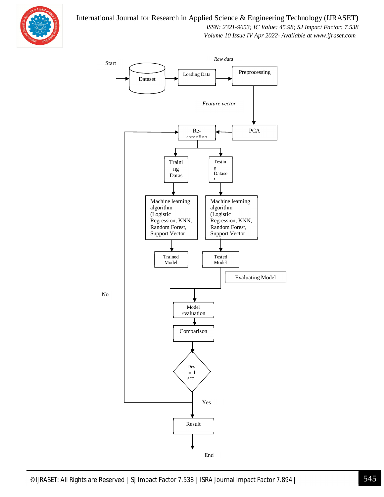

#### International Journal for Research in Applied Science & Engineering Technology (IJRASET**)**

 *ISSN: 2321-9653; IC Value: 45.98; SJ Impact Factor: 7.538*

 *Volume 10 Issue IV Apr 2022- Available at www.ijraset.com*



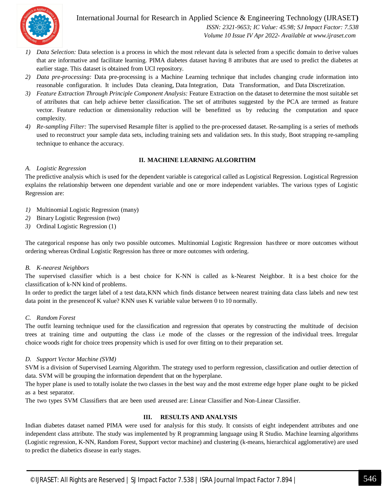

International Journal for Research in Applied Science & Engineering Technology (IJRASET**)**  *ISSN: 2321-9653; IC Value: 45.98; SJ Impact Factor: 7.538*

 *Volume 10 Issue IV Apr 2022- Available at www.ijraset.com*

- *1) Data Selection:* Data selection is a process in which the most relevant data is selected from a specific domain to derive values that are informative and facilitate learning. PIMA diabetes dataset having 8 attributes that are used to predict the diabetes at earlier stage. This dataset is obtained from UCI repository.
- *2) Data pre-processing:* Data pre-processing is a Machine Learning technique that includes changing crude information into reasonable configuration. It includes Data cleaning, Data Integration, Data Transformation, and Data Discretization.
- *3) Feature Extraction Through Principle Component Analysis:* Feature Extraction on the dataset to determine the most suitable set of attributes that can help achieve better classification. The set of attributes suggested by the PCA are termed as feature vector. Feature reduction or dimensionality reduction will be benefitted us by reducing the computation and space complexity.
- *4) Re-sampling Filter:* The supervised Resample filter is applied to the pre-processed dataset. Re-sampling is a series of methods used to reconstruct your sample data sets, including training sets and validation sets. In this study, Boot strapping re-sampling technique to enhance the accuracy.

#### **II. MACHINE LEARNING ALGORITHM**

#### *A. Logistic Regression*

The predictive analysis which is used for the dependent variable is categorical called as Logistical Regression. Logistical Regression explains the relationship between one dependent variable and one or more independent variables. The various types of Logistic Regression are:

- *1)* Multinomial Logistic Regression (many)
- *2)* Binary Logistic Regression (two)
- *3)* Ordinal Logistic Regression (1)

The categorical response has only two possible outcomes. Multinomial Logistic Regression hasthree or more outcomes without ordering whereas Ordinal Logistic Regression has three or more outcomes with ordering.

#### *B. K-nearest Neighbors*

The supervised classifier which is a best choice for K-NN is called as k-Nearest Neighbor. It is a best choice for the classification of k-NN kind of problems.

In order to predict the target label of a test data,KNN which finds distance between nearest training data class labels and new test data point in the presenceof K value? KNN uses K variable value between 0 to 10 normally.

#### *C. Random Forest*

The outfit learning technique used for the classification and regression that operates by constructing the multitude of decision trees at training time and outputting the class i.e mode of the classes or the regression of the individual trees. Irregular choice woods right for choice trees propensity which is used for over fitting on to their preparation set.

#### *D. Support Vector Machine (SVM)*

SVM is a division of Supervised Learning Algorithm. The strategy used to perform regression, classification and outlier detection of data. SVM will be grouping the information dependent that on the hyperplane.

The hyper plane is used to totally isolate the two classes in the best way and the most extreme edge hyper plane ought to be picked as a best separator.

The two types SVM Classifiers that are been used areused are: Linear Classifier and Non-Linear Classifier.

#### **III. RESULTS AND ANALYSIS**

Indian diabetes dataset named PIMA were used for analysis for this study. It consists of eight independent attributes and one independent class attribute. The study was implemented by R programming language using R Studio. Machine learning algorithms (Logistic regression, K-NN, Random Forest, Support vector machine) and clustering (k-means, hierarchical agglomerative) are used to predict the diabetics disease in early stages.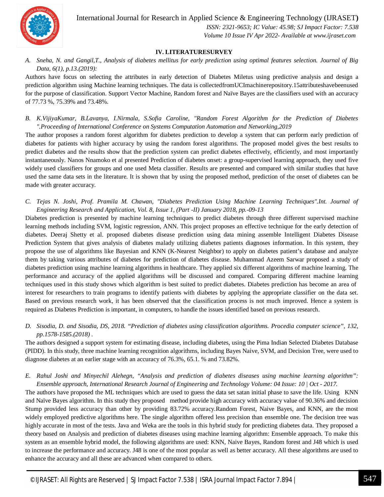

International Journal for Research in Applied Science & Engineering Technology (IJRASET**)**

 *ISSN: 2321-9653; IC Value: 45.98; SJ Impact Factor: 7.538 Volume 10 Issue IV Apr 2022- Available at www.ijraset.com*

#### **IV. LITERATURESURVEY**

*A. Sneha, N. and Gangil,T., Analysis of diabetes mellitus for early prediction using optimal features selection. Journal of Big Data, 6(1), p.13.(2019):*

Authors have focus on selecting the attributes in early detection of Diabetes Miletus using predictive analysis and design a prediction algorithm using Machine learning techniques. The data is collectedfromUCImachinerepository.15attributeshavebeenused for the purpose of classification. Support Vector Machine, Random forest and Naïve Bayes are the classifiers used with an accuracy of 77.73 %, 75.39% and 73.48%.

*B. K.VijiyaKumar, B.Lavanya, I.Nirmala, S.Sofia Caroline, "Random Forest Algorithm for the Prediction of Diabetes ".Proceeding of International Conference on Systems Computation Automation and Networking,2019*

The author proposes a random forest algorithm for diabetes prediction to develop a system that can perform early prediction of diabetes for patients with higher accuracy by using the random forest algorithms. The proposed model gives the best results to predict diabetes and the results show that the prediction system can predict diabetes effectively, efficiently, and most importantly instantaneously. Nanos Nnamoko et al presented Prediction of diabetes onset: a group-supervised learning approach, they used five widely used classifiers for groups and one used Meta classifier. Results are presented and compared with similar studies that have used the same data sets in the literature. It is shown that by using the proposed method, prediction of the onset of diabetes can be made with greater accuracy.

*C. Tejas N. Joshi, Prof. Pramila M. Chawan, "Diabetes Prediction Using Machine Learning Techniques".Int. Journal of Engineering Research and Application, Vol. 8, Issue 1, (Part -II) January 2018, pp.-09-13*

Diabetes prediction is presented by machine learning techniques to predict diabetes through three different supervised machine learning methods including SVM, logistic regression, ANN. This project proposes an effective technique for the early detection of diabetes. Deeraj Shetty et al. proposed diabetes disease prediction using data mining assemble Intelligent Diabetes Disease Prediction System that gives analysis of diabetes malady utilizing diabetes patients diagnoses information. In this system, they propose the use of algorithms like Bayesian and KNN (K-Nearest Neighbor) to apply on diabetes patient's database and analyze them by taking various attributes of diabetes for prediction of diabetes disease. Muhammad Azeem Sarwar proposed a study of diabetes prediction using machine learning algorithms in healthcare. They applied six different algorithms of machine learning. The performance and accuracy of the applied algorithms will be discussed and compared. Comparing different machine learning techniques used in this study shows which algorithm is best suited to predict diabetes. Diabetes prediction has become an area of interest for researchers to train programs to identify patients with diabetes by applying the appropriate classifier on the data set. Based on previous research work, it has been observed that the classification process is not much improved. Hence a system is required as Diabetes Prediction is important, in computers, to handle the issues identified based on previous research.

*D. Sisodia, D. and Sisodia, DS, 2018. "Prediction of diabetes using classification algorithms. Procedia computer science", 132, pp.1578-1585.(2018) .*

The authors designed a support system for estimating disease, including diabetes, using the Pima Indian Selected Diabetes Database (PIDD). In this study, three machine learning recognition algorithms, including Bayes Naive, SVM, and Decision Tree, were used to diagnose diabetes at an earlier stage with an accuracy of 76.3%, 65.1. % and 73.82%.

*E. Rahul Joshi and Minyechil Alehegn, "Analysis and prediction of diabetes diseases using machine learning algorithm": Ensemble approach, International Research Journal of Engineering and Technology Volume: 04 Issue: 10 | Oct - 2017.*

The authors have proposed the ML techniques which are used to guess the data set satan initial phase to save the life. Using KNN and Naïve Bayes algorithm. In this study they proposed method provide high accuracy with accuracy value of 90.36% and decision Stump provided less accuracy than other by providing 83.72% accuracy.Random Forest, Naive Bayes, and KNN, are the most widely employed predictive algorithms here. The single algorithm offered less precision than ensemble one. The decision tree was highly accurate in most of the tests. Java and Weka are the tools in this hybrid study for predicting diabetes data. They proposed a theory based on Analysis and prediction of diabetes diseases using machine learning algorithm: Ensemble approach. To make this system as an ensemble hybrid model, the following algorithms are used: KNN, Naive Bayes, Random forest and J48 which is used to increase the performance and accuracy. J48 is one of the most popular as well as better accuracy. All these algorithms are used to enhance the accuracy and all these are advanced when compared to others.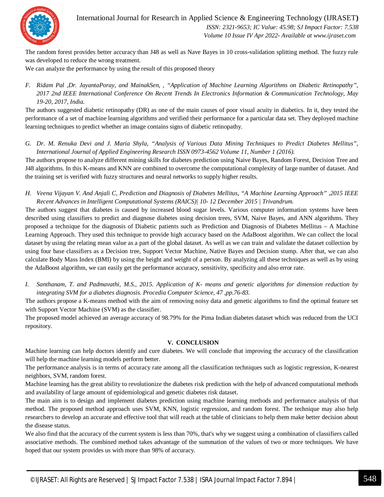

International Journal for Research in Applied Science & Engineering Technology (IJRASET**)**  *ISSN: 2321-9653; IC Value: 45.98; SJ Impact Factor: 7.538 Volume 10 Issue IV Apr 2022- Available at www.ijraset.com*

The random forest provides better accuracy than J48 as well as Nave Bayes in 10 cross-validation splitting method. The fuzzy rule was developed to reduce the wrong treatment.

We can analyze the performance by using the result of this proposed theory

*F. Ridam Pal ,Dr. JayantaPoray, and MainakSen, , "Application of Machine Learning Algorithms on Diabetic Retinopathy", 2017 2nd IEEE International Conference On Recent Trends In Electronics Information & Communication Technology, May 19-20, 2017, India.*

The authors suggested diabetic retinopathy (DR) as one of the main causes of poor visual acuity in diabetics. In it, they tested the performance of a set of machine learning algorithms and verified their performance for a particular data set. They deployed machine learning techniques to predict whether an image contains signs of diabetic retinopathy.

*G. Dr. M. Renuka Devi and J. Maria Shyla, "Analysis of Various Data Mining Techniques to Predict Diabetes Mellitus", International Journal of Applied Engineering Research ISSN 0973-4562 Volume 11, Number 1 (2016).*

The authors propose to analyze different mining skills for diabetes prediction using Naive Bayes, Random Forest, Decision Tree and J48 algorithms. In this K-means and KNN are combined to overcome the computational complexity of large number of dataset. And the training set is verified with fuzzy structures and neural networks to supply higher results.

*H. Veena Vijayan V. And Anjali C, Prediction and Diagnosis of Diabetes Mellitus, "A Machine Learning Approach" ,2015 IEEE Recent Advances in Intelligent Computational Systems (RAICS)| 10- 12 December 2015 | Trivandrum.*

The authors suggest that diabetes is caused by increased blood sugar levels. Various computer information systems have been described using classifiers to predict and diagnose diabetes using decision trees, SVM, Naive Bayes, and ANN algorithms. They proposed a technique for the diagnosis of Diabetic patients such as Prediction and Diagnosis of Diabetes Mellitus – A Machine Learning Approach. They used this technique to provide high accuracy based on the AdaBoost algorithm. We can collect the local dataset by using the relating mean value as a part of the global dataset. As well as we can train and validate the dataset collection by using four base classifiers as a Decision tree, Support Vector Machine, Native Bayes and Decision stump. After that, we can also calculate Body Mass Index (BMI) by using the height and weight of a person. By analyzing all these techniques as well as by using the AdaBoost algorithm, we can easily get the performance accuracy, sensitivity, specificity and also error rate.

*I. Santhanam, T. and Padmavathi, M.S., 2015. Application of K- means and genetic algorithms for dimension reduction by integrating SVM for a diabetes diagnosis. Procedia Computer Science, 47 ,pp.76-83.*

The authors propose a K-means method with the aim of removing noisy data and genetic algorithms to find the optimal feature set with Support Vector Machine (SVM) as the classifier.

The proposed model achieved an average accuracy of 98.79% for the Pima Indian diabetes dataset which was reduced from the UCI repository.

#### **V. CONCLUSION**

Machine learning can help doctors identify and cure diabetes. We will conclude that improving the accuracy of the classification will help the machine learning models perform better.

The performance analysis is in terms of accuracy rate among all the classification techniques such as logistic regression, K-nearest neighbors, SVM, random forest.

Machine learning has the great ability to revolutionize the diabetes risk prediction with the help of advanced computational methods and availability of large amount of epidemiological and genetic diabetes risk dataset.

The main aim is to design and implement diabetes prediction using machine learning methods and performance analysis of that method. The proposed method approach uses SVM, KNN, logistic regression, and random forest. The technique may also help researchers to develop an accurate and effective tool that will reach at the table of clinicians to help them make better decision about the disease status.

We also find that the accuracy of the current system is less than 70%, that's why we suggest using a combination of classifiers called associative methods. The combined method takes advantage of the summation of the values of two or more techniques. We have hoped that our system provides us with more than 98% of accuracy.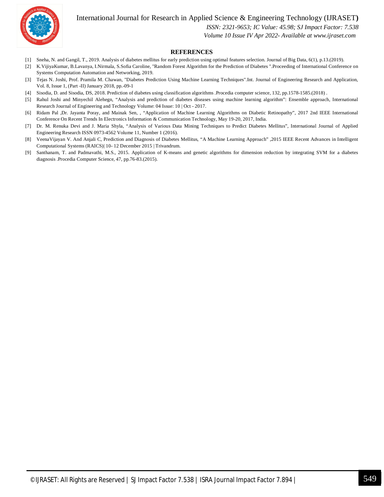International Journal for Research in Applied Science & Engineering Technology (IJRASET**)**



 *ISSN: 2321-9653; IC Value: 45.98; SJ Impact Factor: 7.538*

 *Volume 10 Issue IV Apr 2022- Available at www.ijraset.com*

#### **REFERENCES**

- [1] Sneha, N. and Gangil, T., 2019. Analysis of diabetes mellitus for early prediction using optimal features selection. Journal of Big Data, 6(1), p.13.(2019).
- [2] K.VijiyaKumar, B.Lavanya, I.Nirmala, S.Sofia Caroline, "Random Forest Algorithm for the Prediction of Diabetes ".Proceeding of International Conference on Systems Computation Automation and Networking, 2019.
- [3] Tejas N. Joshi, Prof. Pramila M. Chawan, "Diabetes Prediction Using Machine Learning Techniques".Int. Journal of Engineering Research and Application, Vol. 8, Issue 1, (Part -II) January 2018, pp.-09-1
- [4] Sisodia, D. and Sisodia, DS, 2018. Prediction of diabetes using classification algorithms .Procedia computer science, 132, pp.1578-1585.(2018) .
- [5] Rahul Joshi and Minyechil Alehegn, "Analysis and prediction of diabetes diseases using machine learning algorithm": Ensemble approach, International Research Journal of Engineering and Technology Volume: 04 Issue: 10 | Oct - 2017.
- [6] Ridam Pal ,Dr. Jayanta Poray, and Mainak Sen, , "Application of Machine Learning Algorithms on Diabetic Retinopathy", 2017 2nd IEEE International Conference On Recent Trends In Electronics Information & Communication Technology, May 19-20, 2017, India.
- [7] Dr. M. Renuka Devi and J. Maria Shyla, "Analysis of Various Data Mining Techniques to Predict Diabetes Mellitus", International Journal of Applied Engineering Research ISSN 0973-4562 Volume 11, Number 1 (2016).
- [8] VeenaVijayan V. And Anjali C, Prediction and Diagnosis of Diabetes Mellitus, "A Machine Learning Approach" ,2015 IEEE Recent Advances in Intelligent Computational Systems (RAICS)| 10- 12 December 2015 | Trivandrum.
- [9] Santhanam, T. and Padmavathi, M.S., 2015. Application of K-means and genetic algorithms for dimension reduction by integrating SVM for a diabetes diagnosis .Procedia Computer Science, 47, pp.76-83.(2015).